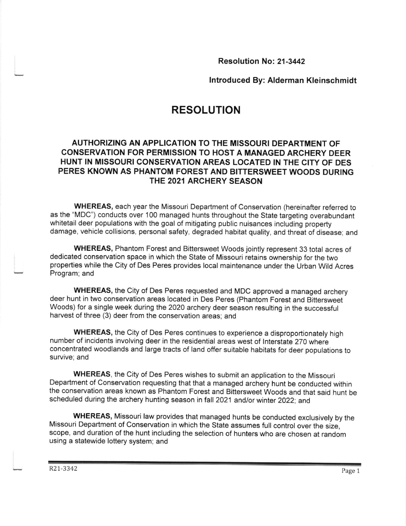Resolution No: 21-3442

lntroduced By: Alderman Kleinschmidt

# RESOLUTION

## AUTHORIZING AN APPLICATION TO THE MISSOURI DEPARTMENT OF CONSERVATION FOR PERMISSION TO HOST A MANAGED ARCHERY DEER HUNT IN MISSOURI CONSERVATION AREAS LOCATED IN THE CITY OF DES PERES KNOWN AS PHANTOM FOREST AND BITTERSWEET WOODS DURING THE 2021 ARCHERY SEASON

WHEREAS, each year the Missouri Department of Conservation (hereinafter referred to as the "MDC") conducts over 100 managed hunts throughout the State targeting overabundant whitetail deer populations with the goal of mitigating public nuisances including property damage, vehicle collisions, personal safety, degraded habitat quality, and threat of disease; and

WHEREAS, Phantom Forest and Bittersweet Woods jointly represent 33 total acres of dedicated conservation space in which the State of Missouri retains ownership for the two properties while the City of Des Peres provides local maintenance under the Urban Wild Acres Program; and

WHEREAS, the City of Des Peres requested and MDC approved a managed archery deer hunt in two conservation areas located in Des Peres (Phantom Forest and Bittersweet Woods) for a single week during the 2020 archery deer season resulting in the successful harvest of three (3) deer from the conservation areas; and

WHEREAS, the City of Des Peres continues to experience a disproportionately high number of incidents involving deer in the residential areas west of lnterstate 270 where concentrated woodlands and large tracts of land offer suitable habitats for deer populations to survive; and

WHEREAS, the City of Des Peres wishes to submit an application to the Missouri Department of conservation requesting that that a managed archery hunt be conducted within the conservation areas known as Phantom Forest and Bittersweet Woods and that said hunt be scheduled during the archery hunting season in fall 2021 and/or winter 2022; and

wHEREAS, Missouri law provides that managed hunts be conducted exclusively by the Missouri Department of conservation in which the state assumes full control over the size, scope, and duration of the hunt including the selection of hunters who are chosen at random using a statewide lottery system; and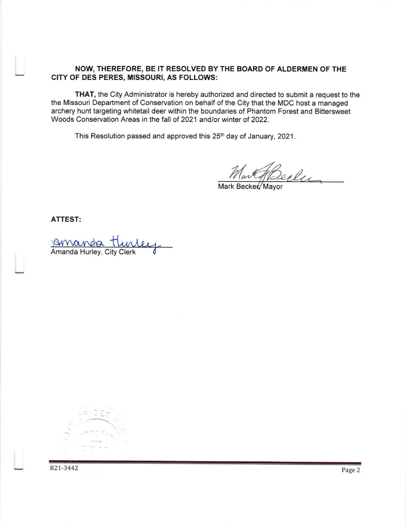#### NOW, THEREFORE, BE IT RESOLVED BY THE BOARD OF ALDERMEN OF THE CITY OF DES PERES, MISSOURI, AS FOLLOWS:

THAT, the City Administrator is hereby authorized and directed to submit a request to the the Missouri Department of Conservation on behalf of the City that the MDC host a managed archery hunt targeting whitetail deer within the boundaries of Phantom Forest and Bittersweet Woods Conservation Areas in the fall of 2021 and/or winter of 2022.

This Resolution passed and approved this 25<sup>th</sup> day of January, 2021.

Mart Reclu

ATTEST:

19 Name Runda<br>Amanda Hurley, City Clerk

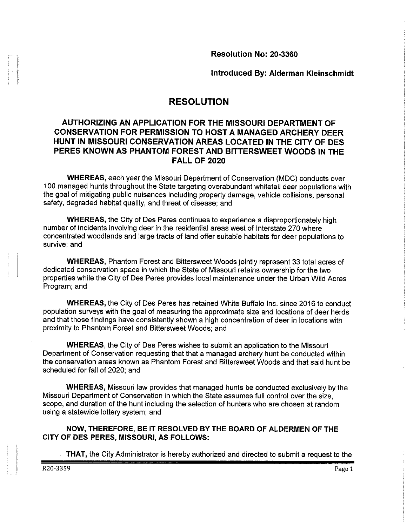Resolution No: 20-3360

Introduced By: Alderman Kleinschmidt

# **RESOLUTION**

## AUTHORIZING AN APPLICATION FOR THE MISSOURI DEPARTMENT OF CONSERVATION FOR PERMISSION TO HOST A MANAGED ARCHERY DEER HUNT IN MISSOURI CONSERVATION AREAS LOCATED IN THE CITY OF DES PERES KNOWN AS PHANTOM FOREST AND BITTERSWEET WOODS IN THE **FALL OF 2020**

**WHEREAS, each year the Missouri Department of Conservation (MDC) conducts over** 100 managed hunts throughout the State targeting overabundant whitetail deer populations with the goal of mitigating public nuisances including property damage, vehicle collisions, personal safety, degraded habitat quality, and threat of disease; and

**WHEREAS, the City of Des Peres continues to experience a disproportionately high** number of incidents involving deer in the residential areas west of Interstate 270 where concentrated woodlands and large tracts of land offer suitable habitats for deer populations to survive: and

**WHEREAS, Phantom Forest and Bittersweet Woods jointly represent 33 total acres of** dedicated conservation space in which the State of Missouri retains ownership for the two properties while the City of Des Peres provides local maintenance under the Urban Wild Acres Program; and

WHEREAS, the City of Des Peres has retained White Buffalo Inc. since 2016 to conduct population surveys with the goal of measuring the approximate size and locations of deer herds and that those findings have consistently shown a high concentration of deer in locations with proximity to Phantom Forest and Bittersweet Woods; and

WHEREAS, the City of Des Peres wishes to submit an application to the Missouri Department of Conservation requesting that that a managed archery hunt be conducted within the conservation areas known as Phantom Forest and Bittersweet Woods and that said hunt be scheduled for fall of 2020; and

**WHEREAS, Missouri law provides that managed hunts be conducted exclusively by the** Missouri Department of Conservation in which the State assumes full control over the size. scope, and duration of the hunt including the selection of hunters who are chosen at random using a statewide lottery system; and

NOW, THEREFORE, BE IT RESOLVED BY THE BOARD OF ALDERMEN OF THE CITY OF DES PERES, MISSOURI, AS FOLLOWS:

**THAT, the City Administrator is hereby authorized and directed to submit a request to the**